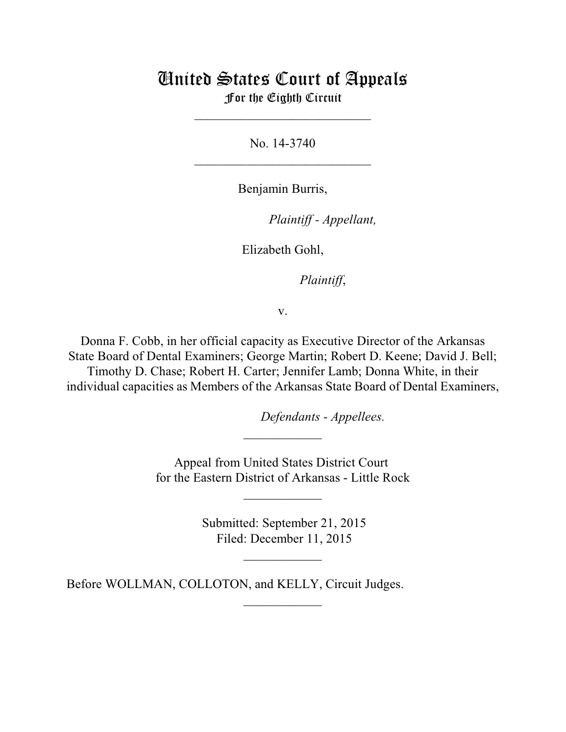## United States Court of Appeals For the Eighth Circuit

\_\_\_\_\_\_\_\_\_\_\_\_\_\_\_\_\_\_\_\_\_\_\_\_\_\_\_

No. 14-3740  $\mathcal{L}_\text{max}$  , which is a set of the set of the set of the set of the set of the set of the set of the set of the set of the set of the set of the set of the set of the set of the set of the set of the set of the set of

Benjamin Burris,

lllllllllllllllllllll *Plaintiff - Appellant,*

Elizabeth Gohl,

Plaintiff,

v.

Donna F. Cobb, in her official capacity as Executive Director of the Arkansas State Board of Dental Examiners; George Martin; Robert D. Keene; David J. Bell; Timothy D. Chase; Robert H. Carter; Jennifer Lamb; Donna White, in their individual capacities as Members of the Arkansas State Board of Dental Examiners,

*Defendants - Appellees.* 

Appeal from United States District Court for the Eastern District of Arkansas - Little Rock

 $\overline{\phantom{a}}$  , where  $\overline{\phantom{a}}$ 

 $\frac{1}{2}$ 

 Submitted: September 21, 2015 Filed: December 11, 2015

 $\frac{1}{2}$ 

 $\frac{1}{2}$ 

Before WOLLMAN, COLLOTON, and KELLY, Circuit Judges.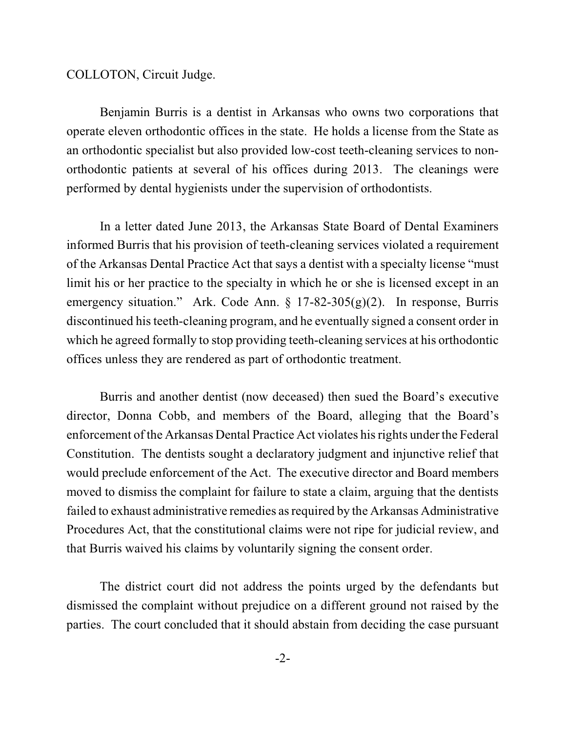COLLOTON, Circuit Judge.

Benjamin Burris is a dentist in Arkansas who owns two corporations that operate eleven orthodontic offices in the state. He holds a license from the State as an orthodontic specialist but also provided low-cost teeth-cleaning services to nonorthodontic patients at several of his offices during 2013. The cleanings were performed by dental hygienists under the supervision of orthodontists.

In a letter dated June 2013, the Arkansas State Board of Dental Examiners informed Burris that his provision of teeth-cleaning services violated a requirement of the Arkansas Dental Practice Act that says a dentist with a specialty license "must limit his or her practice to the specialty in which he or she is licensed except in an emergency situation." Ark. Code Ann. § 17-82-305(g)(2). In response, Burris discontinued his teeth-cleaning program, and he eventually signed a consent order in which he agreed formally to stop providing teeth-cleaning services at his orthodontic offices unless they are rendered as part of orthodontic treatment.

Burris and another dentist (now deceased) then sued the Board's executive director, Donna Cobb, and members of the Board, alleging that the Board's enforcement of the Arkansas Dental Practice Act violates his rights under the Federal Constitution. The dentists sought a declaratory judgment and injunctive relief that would preclude enforcement of the Act. The executive director and Board members moved to dismiss the complaint for failure to state a claim, arguing that the dentists failed to exhaust administrative remedies as required by the Arkansas Administrative Procedures Act, that the constitutional claims were not ripe for judicial review, and that Burris waived his claims by voluntarily signing the consent order.

The district court did not address the points urged by the defendants but dismissed the complaint without prejudice on a different ground not raised by the parties. The court concluded that it should abstain from deciding the case pursuant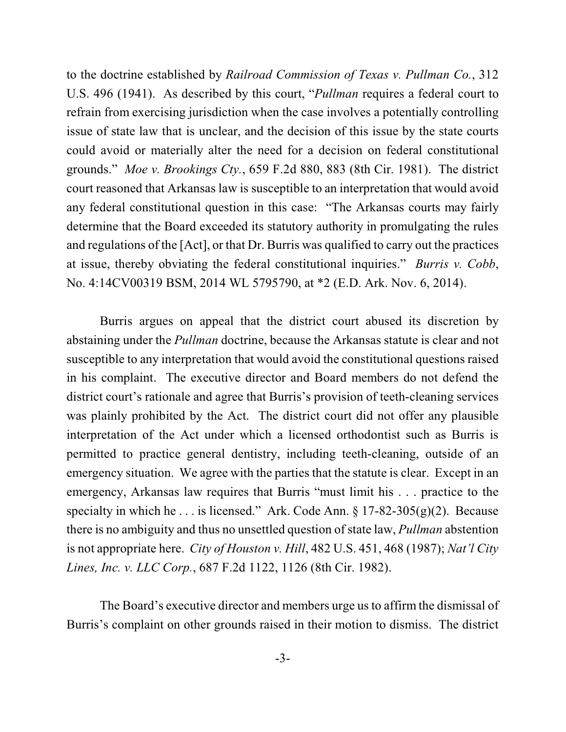to the doctrine established by *Railroad Commission of Texas v. Pullman Co.*, 312 U.S. 496 (1941). As described by this court, "*Pullman* requires a federal court to refrain from exercising jurisdiction when the case involves a potentially controlling issue of state law that is unclear, and the decision of this issue by the state courts could avoid or materially alter the need for a decision on federal constitutional grounds." *Moe v. Brookings Cty.*, 659 F.2d 880, 883 (8th Cir. 1981). The district court reasoned that Arkansas law is susceptible to an interpretation that would avoid any federal constitutional question in this case: "The Arkansas courts may fairly determine that the Board exceeded its statutory authority in promulgating the rules and regulations of the [Act], or that Dr. Burris was qualified to carry out the practices at issue, thereby obviating the federal constitutional inquiries." *Burris v. Cobb*, No. 4:14CV00319 BSM, 2014 WL 5795790, at \*2 (E.D. Ark. Nov. 6, 2014).

Burris argues on appeal that the district court abused its discretion by abstaining under the *Pullman* doctrine, because the Arkansas statute is clear and not susceptible to any interpretation that would avoid the constitutional questions raised in his complaint. The executive director and Board members do not defend the district court's rationale and agree that Burris's provision of teeth-cleaning services was plainly prohibited by the Act. The district court did not offer any plausible interpretation of the Act under which a licensed orthodontist such as Burris is permitted to practice general dentistry, including teeth-cleaning, outside of an emergency situation. We agree with the parties that the statute is clear. Except in an emergency, Arkansas law requires that Burris "must limit his . . . practice to the specialty in which he . . . is licensed." Ark. Code Ann.  $\S 17-82-305(g)(2)$ . Because there is no ambiguity and thus no unsettled question of state law, *Pullman* abstention is not appropriate here. *City of Houston v. Hill*, 482 U.S. 451, 468 (1987); *Nat'l City Lines, Inc. v. LLC Corp.*, 687 F.2d 1122, 1126 (8th Cir. 1982).

The Board's executive director and members urge us to affirm the dismissal of Burris's complaint on other grounds raised in their motion to dismiss. The district